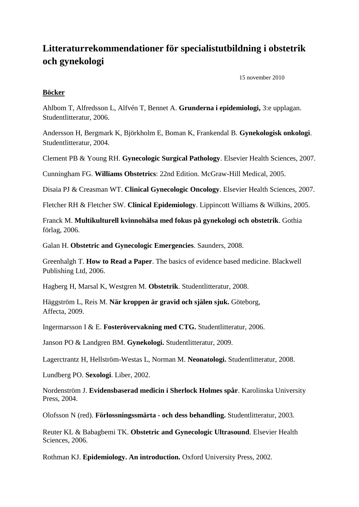# **Litteraturrekommendationer för specialistutbildning i obstetrik och gynekologi**

15 november 2010

#### **Böcker**

Ahlbom T, Alfredsson L, Alfvén T, Bennet A. **Grunderna i epidemiologi,** 3:e upplagan. Studentlitteratur, 2006.

Andersson H, Bergmark K, Björkholm E, Boman K, Frankendal B. **Gynekologisk onkologi**. Studentlitteratur, 2004.

Clement PB & Young RH. **Gynecologic Surgical Pathology**. Elsevier Health Sciences, 2007.

Cunningham FG. **Williams Obstetrics**: 22nd Edition. McGraw-Hill Medical, 2005.

Disaia PJ & Creasman WT. **Clinical Gynecologic Oncology**. Elsevier Health Sciences, 2007.

Fletcher RH & Fletcher SW. **Clinical Epidemiology**. Lippincott Williams & Wilkins, 2005.

Franck M. **Multikulturell kvinnohälsa med fokus på gynekologi och obstetrik**. Gothia förlag, 2006.

Galan H. **Obstetric and Gynecologic Emergencies**. Saunders, 2008.

Greenhalgh T. **How to Read a Paper**. The basics of evidence based medicine. Blackwell Publishing Ltd, 2006.

Hagberg H, Marsal K, Westgren M. **Obstetrik**. Studentlitteratur, 2008.

Häggström L, Reis M. **När kroppen är gravid och själen sjuk.** Göteborg, Affecta, 2009.

Ingermarsson I & E. **Fosterövervakning med CTG.** Studentlitteratur, 2006.

Janson PO & Landgren BM. **Gynekologi.** Studentlitteratur, 2009.

Lagerctrantz H, Hellström-Westas L, Norman M. **Neonatologi.** Studentlitteratur, 2008.

Lundberg PO. **Sexologi**. Liber, 2002.

Nordenström J. **Evidensbaserad medicin i Sherlock Holmes spår**. Karolinska University Press, 2004.

Olofsson N (red). **Förlossningssmärta - och dess behandling.** Studentlitteratur, 2003.

Reuter KL & Babagbemi TK. **Obstetric and Gynecologic Ultrasound**. Elsevier Health Sciences, 2006.

Rothman KJ. **Epidemiology. An introduction.** Oxford University Press, 2002.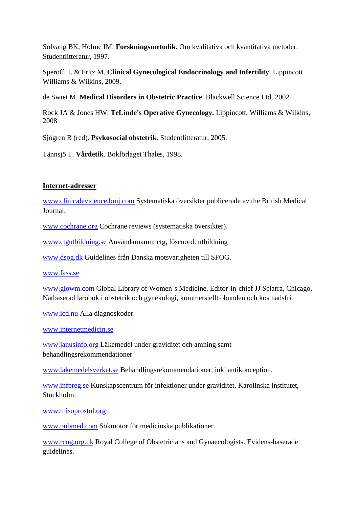Solvang BK, Holme IM. **Forskningsmetodik.** Om kvalitativa och kvantitativa metoder. Studentlitteratur, 1997.

Speroff L & Fritz M. **Clinical Gynecological Endocrinology and Infertility**. Lippincott Williams & Wilkins, 2009.

de Swiet M. **Medical Disorders in Obstetric Practice**. Blackwell Science Ltd, 2002.

Rock JA & Jones HW. **TeLinde's Operative Gynecology.** Lippincott, Williams & Wilkins, 2008

Sjögren B (red). **Psykosocial obstetrik.** Studentlitteratur, 2005.

Tännsjö T. **Vårdetik**. Bokförlaget Thales, 1998.

#### **Internet-adresser**

[www.clinicalevidence.bmj.com](http://www.clinicalevidence.bmj.com/) Systematiska översikter publicerade av the British Medical Journal.

[www.cochrane.org](http://www.cochrane.org/) Cochrane reviews (systematiska översikter).

[www.ctgutbildning.se](http://www.ctgutbildning.se/) Användarnamn: ctg, lösenord: utbildning

[www.dsog.dk](http://www.dsog.dk/) Guidelines från Danska motsvarigheten till SFOG.

[www.fass.se](http://www.fass.se/)

[www.glowm.com](http://www.glowm.com/) Global Library of Women´s Medicine, Editor-in-chief JJ Sciarra, Chicago. Nätbaserad lärobok i obstetrik och gynekologi, kommersiellt obunden och kostnadsfri.

[www.icd.nu](http://www.icd.nu/) Alla diagnoskoder.

[www.internetmedicin.se](http://www.internetmedicin.se/)

[www.janusinfo.org](http://www.janusinfo.org/) Läkemedel under graviditet och amning samt behandlingsrekommendationer

[www.lakemedelsverket.se](http://www.lakemedelsverket.se/) Behandlingsrekommendationer, inkl antikonception.

[www.infpreg.se](http://www.infpreg.se/) Kunskapscentrum för infektioner under graviditet, Karolinska institutet, Stockholm.

[www.misoprostol.org](http://www.misoprostol.org/)

[www.pubmed.com](http://www.pubmed.com/) Sökmotor för medicinska publikationer.

[www.rcog.org.uk](http://www.rcog.org.uk/) Royal College of Obstetricians and Gynaecologists. Evidens-baserade guidelines.